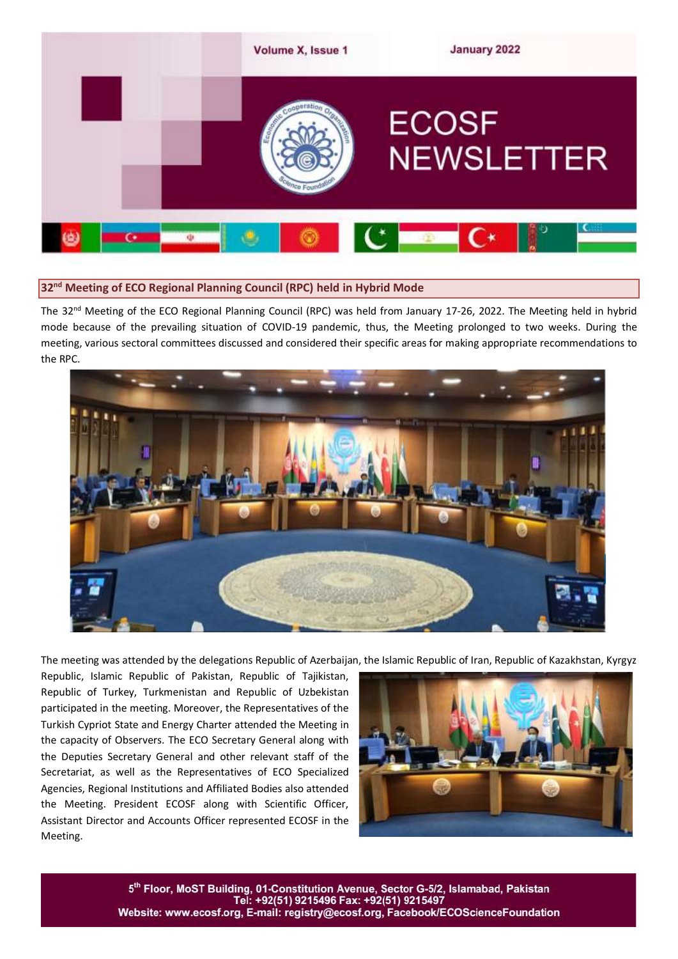

## **32 nd Meeting of ECO Regional Planning Council (RPC) held in Hybrid Mode**

The 32<sup>nd</sup> Meeting of the ECO Regional Planning Council (RPC) was held from January 17-26, 2022. The Meeting held in hybrid mode because of the prevailing situation of COVID-19 pandemic, thus, the Meeting prolonged to two weeks. During the meeting, various sectoral committees discussed and considered their specific areas for making appropriate recommendations to the RPC.



The meeting was attended by the delegations Republic of Azerbaijan, the Islamic Republic of Iran, Republic of Kazakhstan, Kyrgyz

Republic, Islamic Republic of Pakistan, Republic of Tajikistan, Republic of Turkey, Turkmenistan and Republic of Uzbekistan participated in the meeting. Moreover, the Representatives of the Turkish Cypriot State and Energy Charter attended the Meeting in the capacity of Observers. The ECO Secretary General along with the Deputies Secretary General and other relevant staff of the Secretariat, as well as the Representatives of ECO Specialized Agencies, Regional Institutions and Affiliated Bodies also attended the Meeting. President ECOSF along with Scientific Officer, Assistant Director and Accounts Officer represented ECOSF in the Meeting.



5th Floor, MoST Building, 01-Constitution Avenue, Sector G-5/2, Islamabad, Pakistan Teľ: +92(51) 9215496 Fax: +92(51) 9215497 Website: www.ecosf.org, E-mail: registry@ecosf.org, Facebook/ECOScienceFoundation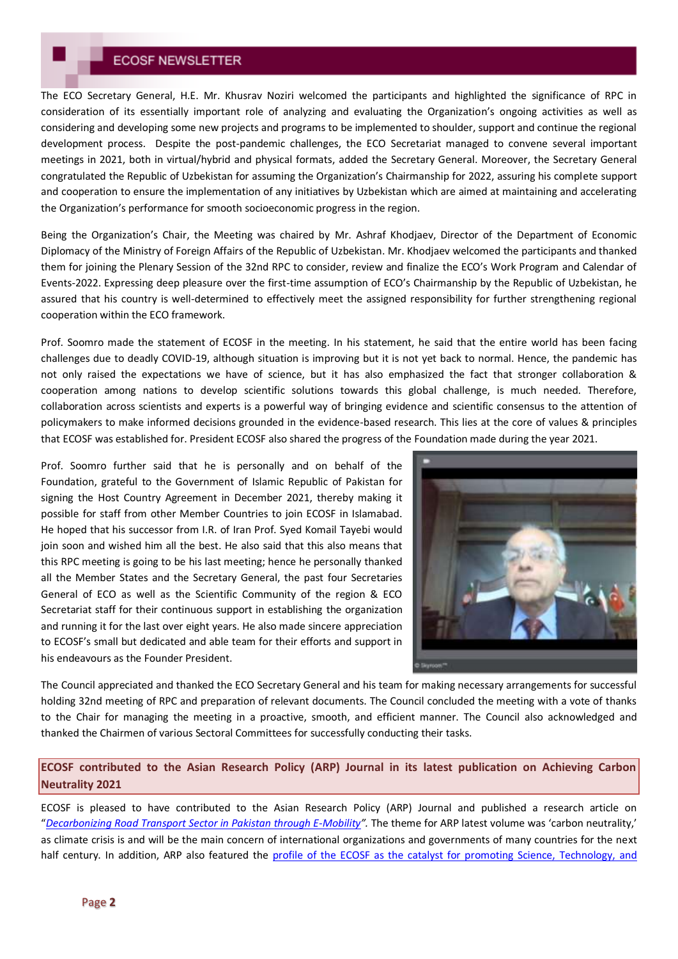## **ECOSF NEWSLETTER**

The ECO Secretary General, H.E. Mr. Khusrav Noziri welcomed the participants and highlighted the significance of RPC in consideration of its essentially important role of analyzing and evaluating the Organization's ongoing activities as well as considering and developing some new projects and programs to be implemented to shoulder, support and continue the regional development process. Despite the post-pandemic challenges, the ECO Secretariat managed to convene several important meetings in 2021, both in virtual/hybrid and physical formats, added the Secretary General. Moreover, the Secretary General congratulated the Republic of Uzbekistan for assuming the Organization's Chairmanship for 2022, assuring his complete support and cooperation to ensure the implementation of any initiatives by Uzbekistan which are aimed at maintaining and accelerating the Organization's performance for smooth socioeconomic progress in the region.

Being the Organization's Chair, the Meeting was chaired by Mr. Ashraf Khodjaev, Director of the Department of Economic Diplomacy of the Ministry of Foreign Affairs of the Republic of Uzbekistan. Mr. Khodjaev welcomed the participants and thanked them for joining the Plenary Session of the 32nd RPC to consider, review and finalize the ECO's Work Program and Calendar of Events-2022. Expressing deep pleasure over the first-time assumption of ECO's Chairmanship by the Republic of Uzbekistan, he assured that his country is well-determined to effectively meet the assigned responsibility for further strengthening regional cooperation within the ECO framework.

Prof. Soomro made the statement of ECOSF in the meeting. In his statement, he said that the entire world has been facing challenges due to deadly COVID-19, although situation is improving but it is not yet back to normal. Hence, the pandemic has not only raised the expectations we have of science, but it has also emphasized the fact that stronger collaboration & cooperation among nations to develop scientific solutions towards this global challenge, is much needed. Therefore, collaboration across scientists and experts is a powerful way of bringing evidence and scientific consensus to the attention of policymakers to make informed decisions grounded in the evidence-based research. This lies at the core of values & principles that ECOSF was established for. President ECOSF also shared the progress of the Foundation made during the year 2021.

Prof. Soomro further said that he is personally and on behalf of the Foundation, grateful to the Government of Islamic Republic of Pakistan for signing the Host Country Agreement in December 2021, thereby making it possible for staff from other Member Countries to join ECOSF in Islamabad. He hoped that his successor from I.R. of Iran Prof. Syed Komail Tayebi would join soon and wished him all the best. He also said that this also means that this RPC meeting is going to be his last meeting; hence he personally thanked all the Member States and the Secretary General, the past four Secretaries General of ECO as well as the Scientific Community of the region & ECO Secretariat staff for their continuous support in establishing the organization and running it for the last over eight years. He also made sincere appreciation to ECOSF's small but dedicated and able team for their efforts and support in his endeavours as the Founder President.



The Council appreciated and thanked the ECO Secretary General and his team for making necessary arrangements for successful holding 32nd meeting of RPC and preparation of relevant documents. The Council concluded the meeting with a vote of thanks to the Chair for managing the meeting in a proactive, smooth, and efficient manner. The Council also acknowledged and thanked the Chairmen of various Sectoral Committees for successfully conducting their tasks.

## **ECOSF contributed to the Asian Research Policy (ARP) Journal in its latest publication on Achieving Carbon Neutrality 2021**

ECOSF is pleased to have contributed to the Asian Research Policy (ARP) Journal and published a research article on "*[Decarbonizing Road Transport Sector in Pakistan through E-Mobility](http://www.arpjournal.org/usr/browse/list_issues_detail.do?seq=33&c_seq=206)".* The theme for ARP latest volume was 'carbon neutrality,' as climate crisis is and will be the main concern of international organizations and governments of many countries for the next half century. In addition, ARP also featured the profile of the ECOSF as the catalyst for promoting Science, Technology, and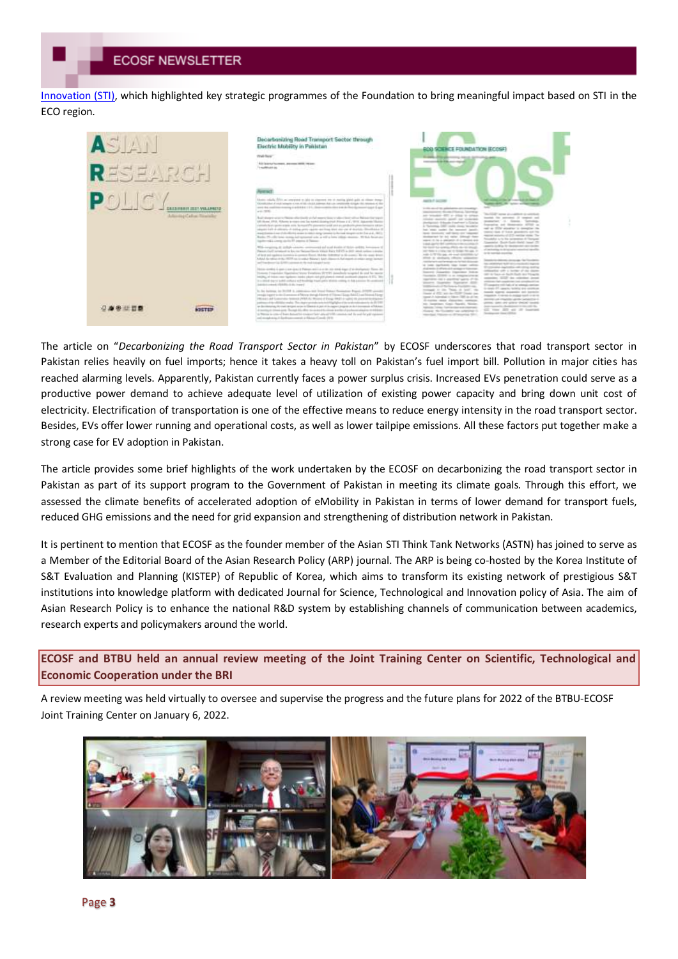[Innovation \(STI\),](http://ecosf.org/uploads/files/ECOSF%20Profile%20-%20ARP.pdf) which highlighted key strategic programmes of the Foundation to bring meaningful impact based on STI in the ECO region.



The article on "*Decarbonizing the Road Transport Sector in Pakistan*" by ECOSF underscores that road transport sector in Pakistan relies heavily on fuel imports; hence it takes a heavy toll on Pakistan's fuel import bill. Pollution in major cities has reached alarming levels. Apparently, Pakistan currently faces a power surplus crisis. Increased EVs penetration could serve as a productive power demand to achieve adequate level of utilization of existing power capacity and bring down unit cost of electricity. Electrification of transportation is one of the effective means to reduce energy intensity in the road transport sector. Besides, EVs offer lower running and operational costs, as well as lower tailpipe emissions. All these factors put together make a strong case for EV adoption in Pakistan.

The article provides some brief highlights of the work undertaken by the ECOSF on decarbonizing the road transport sector in Pakistan as part of its support program to the Government of Pakistan in meeting its climate goals. Through this effort, we assessed the climate benefits of accelerated adoption of eMobility in Pakistan in terms of lower demand for transport fuels, reduced GHG emissions and the need for grid expansion and strengthening of distribution network in Pakistan.

It is pertinent to mention that ECOSF as the founder member of the Asian STI Think Tank Networks (ASTN) has joined to serve as a Member of the Editorial Board of the Asian Research Policy (ARP) journal. The ARP is being co-hosted by the Korea Institute of S&T Evaluation and Planning (KISTEP) of Republic of Korea, which aims to transform its existing network of prestigious S&T institutions into knowledge platform with dedicated Journal for Science, Technological and Innovation policy of Asia. The aim of Asian Research Policy is to enhance the national R&D system by establishing channels of communication between academics, research experts and policymakers around the world.

**ECOSF and BTBU held an annual review meeting of the Joint Training Center on Scientific, Technological and Economic Cooperation under the BRI**

A review meeting was held virtually to oversee and supervise the progress and the future plans for 2022 of the BTBU-ECOSF Joint Training Center on January 6, 2022.

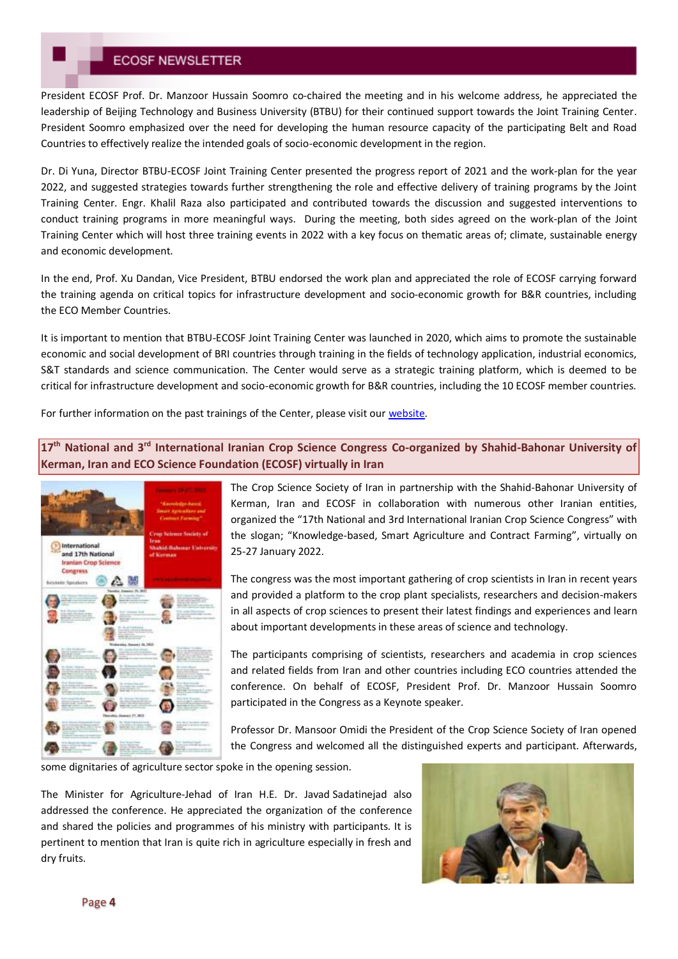# **ECOSF NEWSLETTER**

President ECOSF Prof. Dr. Manzoor Hussain Soomro co-chaired the meeting and in his welcome address, he appreciated the leadership of Beijing Technology and Business University (BTBU) for their continued support towards the Joint Training Center. President Soomro emphasized over the need for developing the human resource capacity of the participating Belt and Road Countries to effectively realize the intended goals of socio-economic development in the region.

Dr. Di Yuna, Director BTBU-ECOSF Joint Training Center presented the progress report of 2021 and the work-plan for the year 2022, and suggested strategies towards further strengthening the role and effective delivery of training programs by the Joint Training Center. Engr. Khalil Raza also participated and contributed towards the discussion and suggested interventions to conduct training programs in more meaningful ways. During the meeting, both sides agreed on the work-plan of the Joint Training Center which will host three training events in 2022 with a key focus on thematic areas of; climate, sustainable energy and economic development.

In the end, Prof. Xu Dandan, Vice President, BTBU endorsed the work plan and appreciated the role of ECOSF carrying forward the training agenda on critical topics for infrastructure development and socio-economic growth for B&R countries, including the ECO Member Countries.

It is important to mention that BTBU-ECOSF Joint Training Center was launched in 2020, which aims to promote the sustainable economic and social development of BRI countries through training in the fields of technology application, industrial economics, S&T standards and science communication. The Center would serve as a strategic training platform, which is deemed to be critical for infrastructure development and socio-economic growth for B&R countries, including the 10 ECOSF member countries.

For further information on the past trainings of the Center, please visit our [website.](http://ecosf.org/btbu-ecosf.aspx)

**17th National and 3rd International Iranian Crop Science Congress Co-organized by Shahid-Bahonar University of Kerman, Iran and ECO Science Foundation (ECOSF) virtually in Iran**



The Crop Science Society of Iran in partnership with the Shahid-Bahonar University of Kerman, Iran and ECOSF in collaboration with numerous other Iranian entities, organized the "17th National and 3rd International Iranian Crop Science Congress" with the slogan; "Knowledge-based, Smart Agriculture and Contract Farming", virtually on 25-27 January 2022.

The congress was the most important gathering of crop scientists in Iran in recent years and provided a platform to the crop plant specialists, researchers and decision-makers in all aspects of crop sciences to present their latest findings and experiences and learn about important developments in these areas of science and technology.

The participants comprising of scientists, researchers and academia in crop sciences and related fields from Iran and other countries including ECO countries attended the conference. On behalf of ECOSF, President Prof. Dr. Manzoor Hussain Soomro participated in the Congress as a Keynote speaker.

Professor Dr. Mansoor Omidi the President of the Crop Science Society of Iran opened the Congress and welcomed all the distinguished experts and participant. Afterwards,

some dignitaries of agriculture sector spoke in the opening session.

The Minister for Agriculture-Jehad of Iran H.E. Dr. Javad Sadatinejad also addressed the conference. He appreciated the organization of the conference and shared the policies and programmes of his ministry with participants. It is pertinent to mention that Iran is quite rich in agriculture especially in fresh and dry fruits.

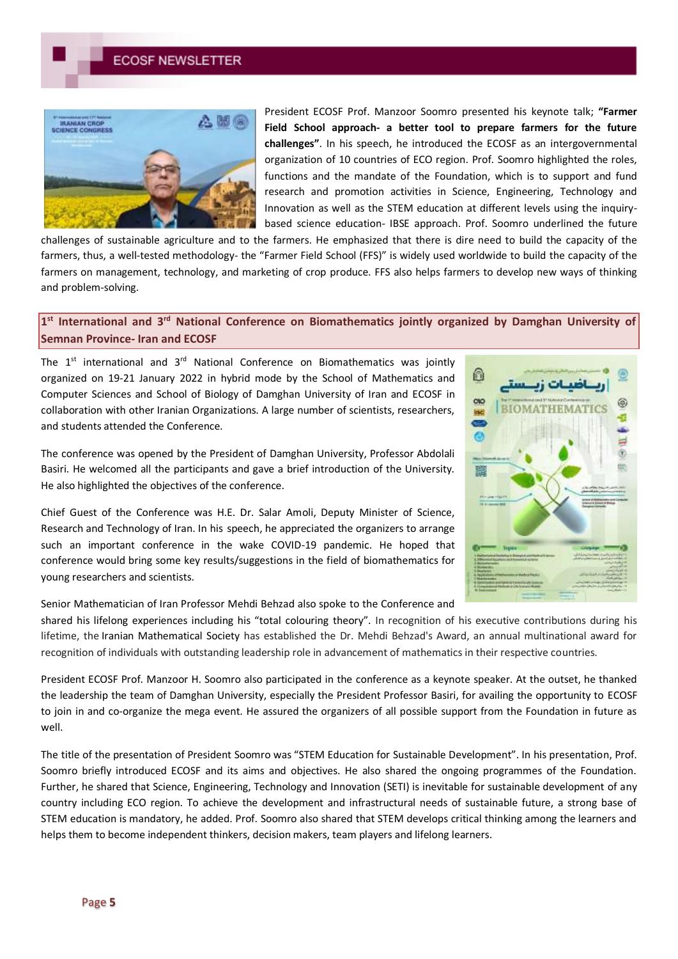

President ECOSF Prof. Manzoor Soomro presented his keynote talk; **"Farmer Field School approach- a better tool to prepare farmers for the future challenges"**. In his speech, he introduced the ECOSF as an intergovernmental organization of 10 countries of ECO region. Prof. Soomro highlighted the roles, functions and the mandate of the Foundation, which is to support and fund research and promotion activities in Science, Engineering, Technology and Innovation as well as the STEM education at different levels using the inquirybased science education- IBSE approach. Prof. Soomro underlined the future

challenges of sustainable agriculture and to the farmers. He emphasized that there is dire need to build the capacity of the farmers, thus, a well-tested methodology- the "Farmer Field School (FFS)" is widely used worldwide to build the capacity of the farmers on management, technology, and marketing of crop produce. FFS also helps farmers to develop new ways of thinking and problem-solving.

# **1 st International and 3rd National Conference on Biomathematics jointly organized by Damghan University of Semnan Province- Iran and ECOSF**

The  $1^{st}$  international and  $3^{rd}$  National Conference on Biomathematics was jointly organized on 19-21 January 2022 in hybrid mode by the School of Mathematics and Computer Sciences and School of Biology of Damghan University of Iran and ECOSF in collaboration with other Iranian Organizations. A large number of scientists, researchers, and students attended the Conference.

The conference was opened by the President of Damghan University, Professor Abdolali Basiri. He welcomed all the participants and gave a brief introduction of the University. He also highlighted the objectives of the conference.

Chief Guest of the Conference was H.E. Dr. Salar Amoli, Deputy Minister of Science, Research and Technology of Iran. In his speech, he appreciated the organizers to arrange such an important conference in the wake COVID-19 pandemic. He hoped that conference would bring some key results/suggestions in the field of biomathematics for young researchers and scientists.

Senior Mathematician of Iran Professor Mehdi Behzad also spoke to the Conference and



shared his lifelong experiences including his "total colouring theory". In recognition of his executive contributions during his lifetime, the Iranian Mathematical Society has established the Dr. Mehdi Behzad's Award, an annual multinational award for recognition of individuals with outstanding leadership role in advancement of mathematics in their respective countries.

President ECOSF Prof. Manzoor H. Soomro also participated in the conference as a keynote speaker. At the outset, he thanked the leadership the team of Damghan University, especially the President Professor Basiri, for availing the opportunity to ECOSF to join in and co-organize the mega event. He assured the organizers of all possible support from the Foundation in future as well.

The title of the presentation of President Soomro was "STEM Education for Sustainable Development". In his presentation, Prof. Soomro briefly introduced ECOSF and its aims and objectives. He also shared the ongoing programmes of the Foundation. Further, he shared that Science, Engineering, Technology and Innovation (SETI) is inevitable for sustainable development of any country including ECO region. To achieve the development and infrastructural needs of sustainable future, a strong base of STEM education is mandatory, he added. Prof. Soomro also shared that STEM develops critical thinking among the learners and helps them to become independent thinkers, decision makers, team players and lifelong learners.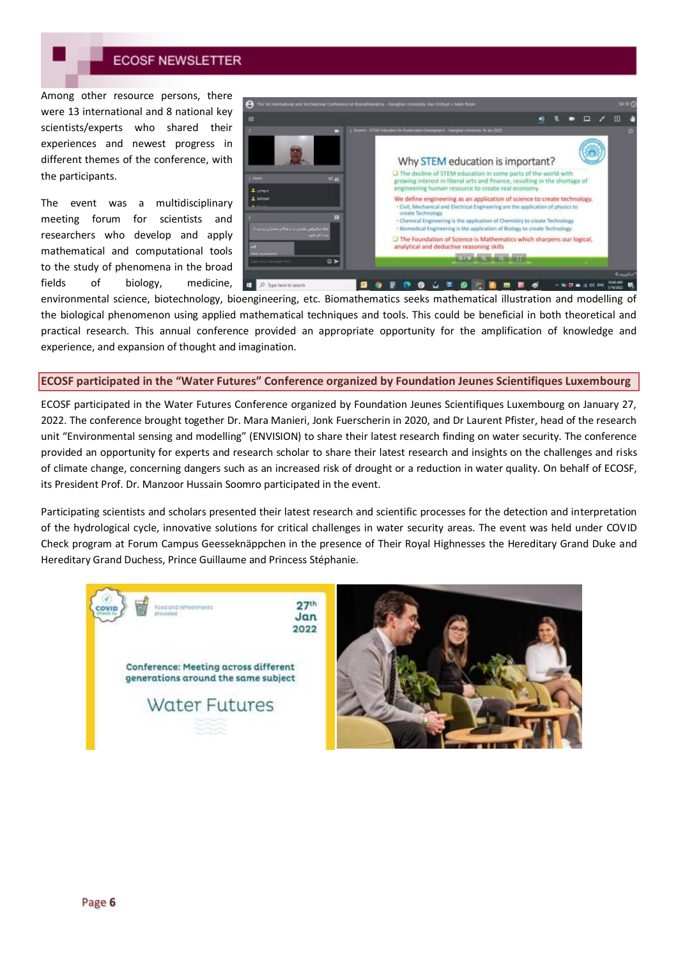

Among other resource persons, there were 13 international and 8 national key scientists/experts who shared their experiences and newest progress in different themes of the conference, with the participants.

The event was a multidisciplinary meeting forum for scientists and researchers who develop and apply mathematical and computational tools to the study of phenomena in the broad fields of biology, medicine,



environmental science, biotechnology, bioengineering, etc. Biomathematics seeks mathematical illustration and modelling of the biological phenomenon using applied mathematical techniques and tools. This could be beneficial in both theoretical and practical research. This annual conference provided an appropriate opportunity for the amplification of knowledge and experience, and expansion of thought and imagination.

#### **ECOSF participated in the "Water Futures" Conference organized by Foundation Jeunes Scientifiques Luxembourg**

ECOSF participated in the Water Futures Conference organized by Foundation Jeunes Scientifiques Luxembourg on January 27, 2022. The conference brought together Dr. Mara Manieri, Jonk Fuerscherin in 2020, and Dr Laurent Pfister, head of the research unit "Environmental sensing and modelling" (ENVISION) to share their latest research finding on water security. The conference provided an opportunity for experts and research scholar to share their latest research and insights on the challenges and risks of climate change, concerning dangers such as an increased risk of drought or a reduction in water quality. On behalf of ECOSF, its President Prof. Dr. Manzoor Hussain Soomro participated in the event.

Participating scientists and scholars presented their latest research and scientific processes for the detection and interpretation of the hydrological cycle, innovative solutions for critical challenges in water security areas. The event was held under COVID Check program at Forum Campus Geesseknäppchen in the presence of Their Royal Highnesses the Hereditary Grand Duke and Hereditary Grand Duchess, Prince Guillaume and Princess Stéphanie.



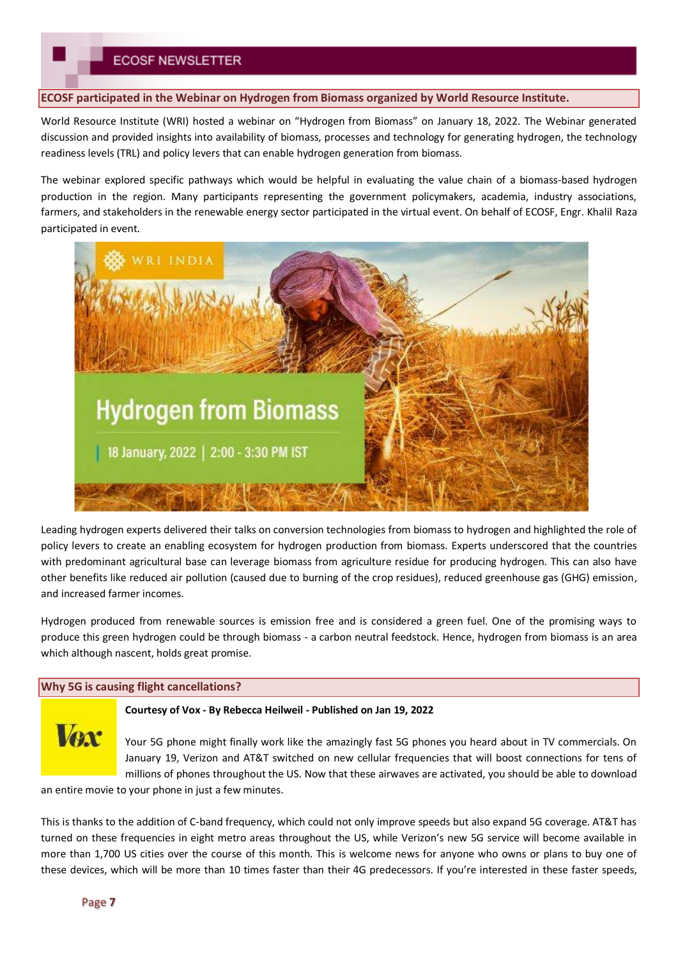**ECOSF participated in the Webinar on Hydrogen from Biomass organized by World Resource Institute.**

World Resource Institute (WRI) hosted a webinar on "Hydrogen from Biomass" on January 18, 2022. The Webinar generated discussion and provided insights into availability of biomass, processes and technology for generating hydrogen, the technology readiness levels (TRL) and policy levers that can enable hydrogen generation from biomass.

The webinar explored specific pathways which would be helpful in evaluating the value chain of a biomass-based hydrogen production in the region. Many participants representing the government policymakers, academia, industry associations, farmers, and stakeholders in the renewable energy sector participated in the virtual event. On behalf of ECOSF, Engr. Khalil Raza participated in event.



Leading hydrogen experts delivered their talks on conversion technologies from biomass to hydrogen and highlighted the role of policy levers to create an enabling ecosystem for hydrogen production from biomass. Experts underscored that the countries with predominant agricultural base can leverage biomass from agriculture residue for producing hydrogen. This can also have other benefits like reduced air pollution (caused due to burning of the crop residues), reduced greenhouse gas (GHG) emission, and increased farmer incomes.

Hydrogen produced from renewable sources is emission free and is considered a green fuel. One of the promising ways to produce this green hydrogen could be through biomass - a carbon neutral feedstock. Hence, hydrogen from biomass is an area which although nascent, holds great promise.

## **Why 5G is causing flight cancellations?**

#### **Courtesy of Vox - By Rebecca Heilweil - Published on Jan 19, 2022**



Your 5G phone might finally work like the amazingly fast 5G phones you heard about in TV commercials. On January 19, Verizon and AT&T switched on new cellular frequencies that will boost connections for tens of millions of phones throughout the US. Now that these airwaves are activated, you should be able to download

an entire movie to your phone in just a few minutes.

This is thanks to the addition of C-band frequency, which could not only improve speeds but also expand 5G coverage. AT&T has turned on these frequencies in eight metro areas throughout the US, while Verizon's new 5G service will become available in more than 1,700 US cities over the course of this month. This is welcome news for anyone who owns or plans to buy one of these devices, which will be more than 10 times faster than their 4G predecessors. If you're interested in these faster speeds,